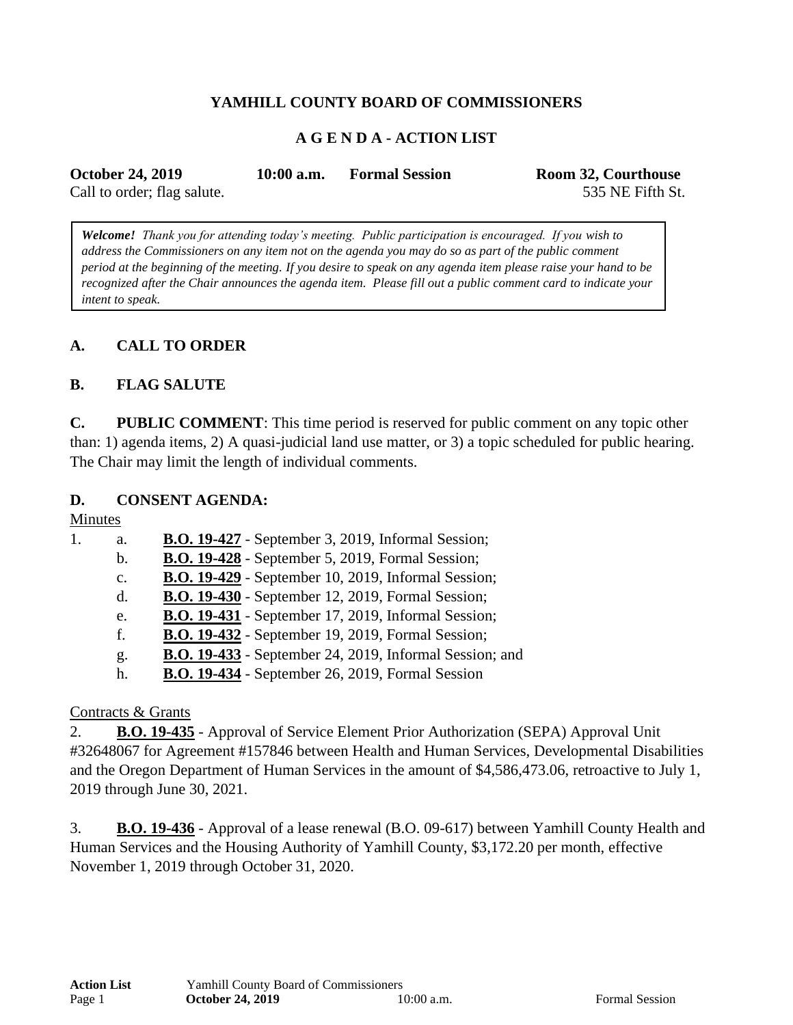## **YAMHILL COUNTY BOARD OF COMMISSIONERS**

#### **A G E N D A - ACTION LIST**

| <b>October 24, 2019</b>     | $10:00$ a.m. | <b>Formal Session</b> | Room 32, Courthouse |
|-----------------------------|--------------|-----------------------|---------------------|
| Call to order; flag salute. |              |                       | 535 NE Fifth St.    |

*Welcome! Thank you for attending today's meeting. Public participation is encouraged. If you wish to address the Commissioners on any item not on the agenda you may do so as part of the public comment period at the beginning of the meeting. If you desire to speak on any agenda item please raise your hand to be recognized after the Chair announces the agenda item. Please fill out a public comment card to indicate your intent to speak.*

#### **A. CALL TO ORDER**

#### **B. FLAG SALUTE**

**C. PUBLIC COMMENT**: This time period is reserved for public comment on any topic other than: 1) agenda items, 2) A quasi-judicial land use matter, or 3) a topic scheduled for public hearing. The Chair may limit the length of individual comments.

#### **D. CONSENT AGENDA:**

Minutes

| 1. | a.             | <b>B.O. 19-427</b> - September 3, 2019, Informal Session;      |
|----|----------------|----------------------------------------------------------------|
|    | b.             | <b>B.O. 19-428</b> - September 5, 2019, Formal Session;        |
|    | $\mathbf{c}$ . | <b>B.O. 19-429</b> - September 10, 2019, Informal Session;     |
|    | d.             | <b>B.O. 19-430</b> - September 12, 2019, Formal Session;       |
|    | e.             | <b>B.O. 19-431</b> - September 17, 2019, Informal Session;     |
|    | f.             | <b>B.O. 19-432</b> - September 19, 2019, Formal Session;       |
|    | g.             | <b>B.O. 19-433</b> - September 24, 2019, Informal Session; and |
|    | h.             | <b>B.O. 19-434</b> - September 26, 2019, Formal Session        |
|    |                |                                                                |

#### Contracts & Grants

2. **B.O. 19-435** - Approval of Service Element Prior Authorization (SEPA) Approval Unit #32648067 for Agreement #157846 between Health and Human Services, Developmental Disabilities and the Oregon Department of Human Services in the amount of \$4,586,473.06, retroactive to July 1, 2019 through June 30, 2021.

3. **B.O. 19-436** - Approval of a lease renewal (B.O. 09-617) between Yamhill County Health and Human Services and the Housing Authority of Yamhill County, \$3,172.20 per month, effective November 1, 2019 through October 31, 2020.